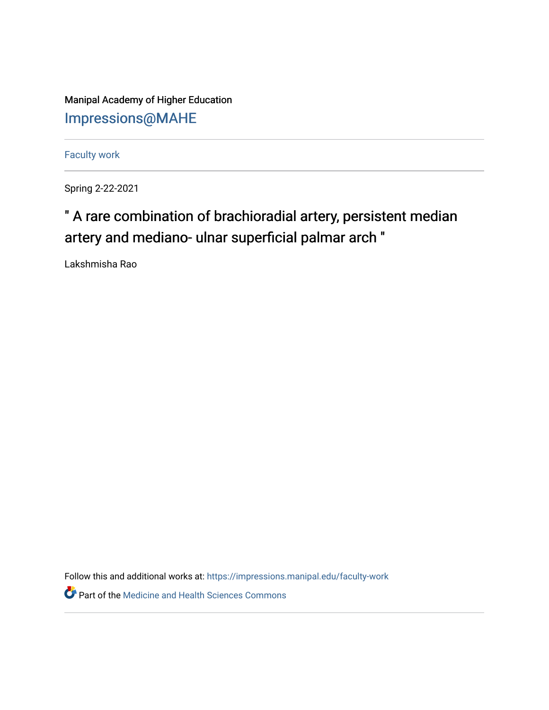Manipal Academy of Higher Education [Impressions@MAHE](https://impressions.manipal.edu/)

[Faculty work](https://impressions.manipal.edu/faculty-work) 

Spring 2-22-2021

## " A rare combination of brachioradial artery, persistent median artery and mediano- ulnar superficial palmar arch "

Lakshmisha Rao

Follow this and additional works at: [https://impressions.manipal.edu/faculty-work](https://impressions.manipal.edu/faculty-work?utm_source=impressions.manipal.edu%2Ffaculty-work%2F100&utm_medium=PDF&utm_campaign=PDFCoverPages) 

**Part of the Medicine and Health Sciences Commons**